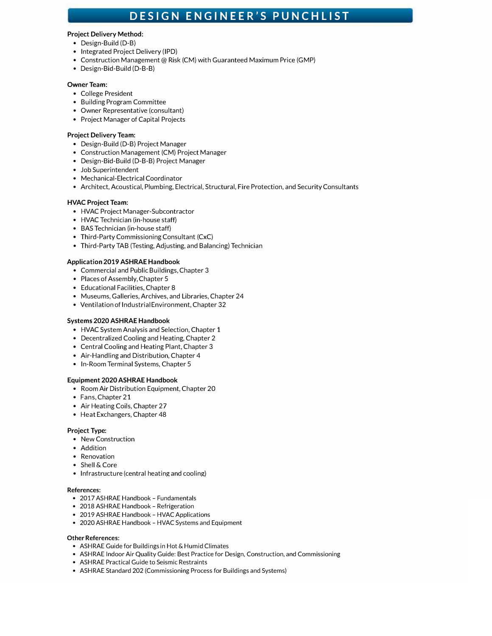# **DESIGN ENGINEER'S PUNCHLIST**

## **Project Delivery Method:**

- Design-Build (D-B)
- Integrated Project Delivery (IPD)
- Construction Management@ Risk (CM) with Guaranteed Maximum Price (GMP)
- Design-Bid-Build (D-B-B)

# **Owner Team:**

- College President
- Building Program Committee
- Owner Representative (consultant)
- Project Manager of Capital Projects

# **Project Delivery Team:**

- Design-Build (D-B) Project Manager
- Construction Management (CM) Project Manager
- Design-Bid-Build (D-B-B) Project Manager
- Job Superintendent
- Mechanical-Electrical Coordinator
- Architect, Acoustical, Plumbing, Electrical, Structural, Fire Protection, and Security Consultants

# **HVAC Project Team:**

- HVAC Project Manager-Subcontractor
- HVAC Technician (in-house staff)
- BAS Technician (in-house staff)
- Third-Party Commissioning Consultant (CxC)
- Third-Party TAB (Testing, Adjusting, and Balancing) Technician

# **Application 2019 ASHRAE Handbook**

- Commercial and Public Buildings, Chapter 3
- Places of Assembly, Chapter 5
- Educational Facilities, Chapter 8
- Museums, Galleries, Archives, and Libraries, Chapter 24
- Ventilation of Industrial Environment, Chapter 32

## **Systems 2020 ASHRAE Handbook**

- HVAC System Analysis and Selection, Chapter 1
- Decentralized Cooling and Heating, Chapter 2
- Central Cooling and Heating Plant, Chapter 3
- Air-Handling and Distribution, Chapter 4
- In-Room Terminal Systems, Chapter 5

# **Equipment 2020 ASHRAE Handbook**

- Room Air Distribution Equipment, Chapter 20
- Fans, Chapter 21
- Air Heating Coils, Chapter 27
- Heat Exchangers, Chapter 48

## **Project Type:**

- New Construction
- Addition
- Renovation
- Shell & Core
- Infrastructure (central heating and cooling)

# **References:**

- 2017 ASHRAE Handbook- Fundamentals
- 2018 ASHRAE Handbook Refrigeration
- 2019 ASHRAE Handbook HVAC Applications
- 2020 ASHRAE Handbook HVAC Systems and Equipment

# **Other References:**

- ASHRAE Guide for Buildings in Hot & Humid Climates
- ASHRAE Indoor Air Quality Guide: Best Practice for Design, Construction, and Commissioning
- ASHRAE Practical Guide to Seismic Restraints
- ASHRAE Standard 202 (Commissioning Process for Buildings and Systems)